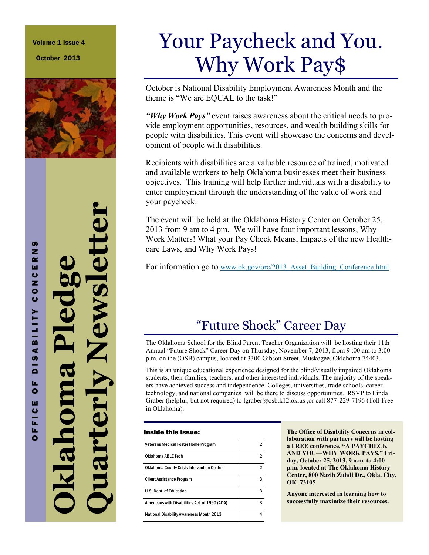Volume 1 Issue 4

October 2013



# Your Paycheck and You. Why Work Pay\$

October is National Disability Employment Awareness Month and the theme is "We are EQUAL to the task!"

*"Why Work Pays"* event raises awareness about the critical needs to provide employment opportunities, resources, and wealth building skills for people with disabilities. This event will showcase the concerns and development of people with disabilities.

Recipients with disabilities are a valuable resource of trained, motivated and available workers to help Oklahoma businesses meet their business objectives. This training will help further individuals with a disability to enter employment through the understanding of the value of work and your paycheck.

The event will be held at the Oklahoma History Center on October 25, 2013 from 9 am to 4 pm. We will have four important lessons, Why Work Matters! What your Pay Check Means, Impacts of the new Healthcare Laws, and Why Work Pays!

For information go to [www.ok.gov/orc/2013\\_Asset](http://www.ok.gov/orc/2013_Asset_Building_Conference.html)*\_*Building\_Conference.html.

### "Future Shock" Career Day

The Oklahoma School for the Blind Parent Teacher Organization will be hosting their 11th Annual "Future Shock" Career Day on Thursday, November 7, 2013, from 9 :00 am to 3:00 p.m. on the (OSB) campus, located at 3300 Gibson Street, Muskogee, Oklahoma 74403.

This is an unique educational experience designed for the blind/visually impaired Oklahoma students, their families, teachers, and other interested individuals. The majority of the speakers have achieved success and independence. Colleges, universities, trade schools, career technology, and national companies will be there to discuss opportunities. RSVP to Linda Graber (helpful, but not required) to lgraber@osb.k12.ok.us ,or call 877-229-7196 (Toll Free in Oklahoma).

#### Inside this issue:

| <b>Veterans Medical Foster Home Program</b>       |   |
|---------------------------------------------------|---|
| Oklahoma ABLE Tech                                |   |
| <b>Oklahoma County Crisis Intervention Center</b> |   |
| <b>Client Assistance Program</b>                  |   |
| U.S. Dept. of Education                           | 3 |
| Americans with Disabilities Act of 1990 (ADA)     | 3 |
| <b>National Disability Awareness Month 2013</b>   |   |

**The Office of Disability Concerns in collaboration with partners will be hosting a FREE conference. "A PAYCHECK AND YOU—WHY WORK PAY\$," Friday, October 25, 2013, 9 a.m. to 4:00 p.m. located at The Oklahoma History Center, 800 Nazih Zuhdi Dr., Okla. City, OK 73105**

**Anyone interested in learning how to successfully maximize their resources.** 

**Quarterly Newsletter Oklahoma Pledge**  klahom<br>uarterl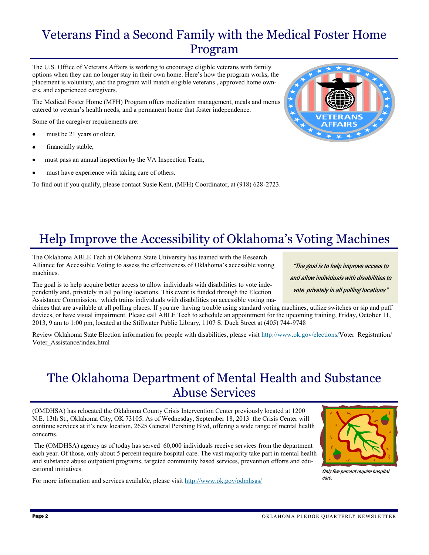#### Veterans Find a Second Family with the Medical Foster Home Program

The U.S. Office of Veterans Affairs is working to encourage eligible veterans with family options when they can no longer stay in their own home. Here's how the program works, the placement is voluntary, and the program will match eligible veterans , approved home owners, and experienced caregivers.

The Medical Foster Home (MFH) Program offers medication management, meals and menus catered to veteran's health needs, and a permanent home that foster independence.

Some of the caregiver requirements are:

- must be 21 years or older,
- financially stable,
- must pass an annual inspection by the VA Inspection Team,
- must have experience with taking care of others.
- To find out if you qualify, please contact Susie Kent, (MFH) Coordinator, at (918) 628-2723.



## Help Improve the Accessibility of Oklahoma's Voting Machines

The Oklahoma ABLE Tech at Oklahoma State University has teamed with the Research Alliance for Accessible Voting to assess the effectiveness of Oklahoma's accessible voting machines.

The goal is to help acquire better access to allow individuals with disabilities to vote independently and, privately in all polling locations. This event is funded through the Election Assistance Commission, which trains individuals with disabilities on accessible voting ma-

chines that are available at all polling places. If you are having trouble using standard voting machines, utilize switches or sip and puff devices, or have visual impairment. Please call ABLE Tech to schedule an appointment for the upcoming training, Friday, October 11, 2013, 9 am to 1:00 pm, located at the Stillwater Public Library, 1107 S. Duck Street at (405) 744-9748

Review Oklahoma State Election information for people with disabilities, please visit [http://www.ok.gov/elections/V](http://www.ok.gov/elections/Voter_Registration/Voter_Assistance/index.html)oter\_Registration/ Voter\_Assistance/index.html

#### The Oklahoma Department of Mental Health and Substance Abuse Services

(OMDHSA) has relocated the Oklahoma County Crisis Intervention Center previously located at 1200 N.E. 13th St., Oklahoma City, OK 73105. As of Wednesday, September 18, 2013 the Crisis Center will continue services at it's new location, 2625 General Pershing Blvd, offering a wide range of mental health concerns.

The (OMDHSA) agency as of today has served 60,000 individuals receive services from the department each year. Of those, only about 5 percent require hospital care. The vast majority take part in mental health and substance abuse outpatient programs, targeted community based services, prevention efforts and educational initiatives.

For more information and services available, please visit <http://www.ok.gov/odmhsas/>



Only five percent require hospital care.

and allow individuals with disabilities to vote privately in all polling locations"

"The goal is to help improve access to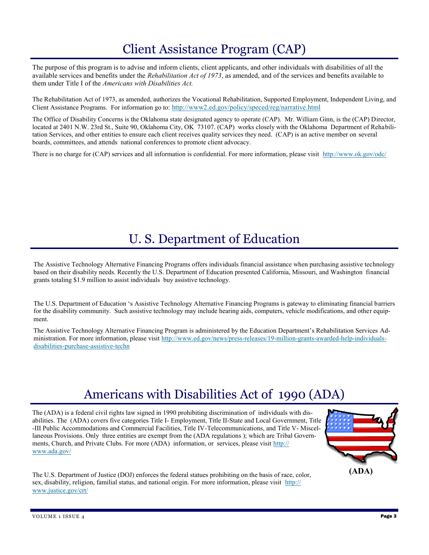#### Client Assistance Program (CAP)

The purpose of this program is to advise and inform clients, client applicants, and other individuals with disabilities of all the available services and benefits under the *Rehabilitation Act of 1973*, as amended, and of the services and benefits available to them under Title I of the *Americans with Disabilities Act.* 

The Rehabilitation Act of 1973, as amended, authorizes the Vocational Rehabilitation, Supported Employment, Independent Living, and Client Assistance Programs. For information go to: <http://www2.ed.gov/policy/speced/reg/narrative.html>

The Office of Disability Concerns is the Oklahoma state designated agency to operate (CAP). Mr. William Ginn, is the (CAP) Director, located at 2401 N.W. 23rd St., Suite 90, Oklahoma City, OK 73107. (CAP) works closely with the Oklahoma Department of Rehabilitation Services, and other entities to ensure each client receives quality services they need. (CAP) is an active member on several boards, committees, and attends national conferences to promote client advocacy.

There is no charge for (CAP) services and all information is confidential. For more information, please visit <http://www.ok.gov/odc/>

### U. S. Department of Education

The Assistive Technology Alternative Financing Programs offers individuals financial assistance when purchasing assistive technology based on their disability needs. Recently the U.S. Department of Education presented California, Missouri, and Washington financial grants totaling \$1.9 million to assist individuals buy assistive technology.

The U.S. Department of Education 's Assistive Technology Alternative Financing Programs is gateway to eliminating financial barriers for the disability community. Such assistive technology may include hearing aids, computers, vehicle modifications, and other equipment.

The Assistive Technology Alternative Financing Program is administered by the Education Department's Rehabilitation Services Administration. For more information, please visit [http://www.ed.gov/news/press-releases/19-million-grants-awarded-help-individuals](http://www.ed.gov/news/press-releases/19-million-grants-awarded-help-individuals-disabilities-purchase-assistive-techn)[disabilities-purchase-assistive-techn](http://www.ed.gov/news/press-releases/19-million-grants-awarded-help-individuals-disabilities-purchase-assistive-techn)

#### Americans with Disabilities Act of 1990 (ADA)

The (ADA) is a federal civil rights law signed in 1990 prohibiting discrimination of individuals with disabilities. The (ADA) covers five categories Title I- Employment, Title II-State and Local Government, Title -III Public Accommodations and Commercial Facilities, Title IV-Telecommunications, and Title V- Miscellaneous Provisions. Only three entities are exempt from the (ADA regulations ); which are Tribal Governments, Church, and Private Clubs. For more (ADA) information, or services, please visit [http://](http://www.ada.gov/) [www.ada.gov/](http://www.ada.gov/)



The U.S. Department of Justice (DOJ) enforces the federal statues prohibiting on the basis of race, color, sex, disability, religion, familial status, and national origin. For more information, please visit [http://](http://www.justice.gov/crt/) [www.justice.gov/crt/](http://www.justice.gov/crt/)